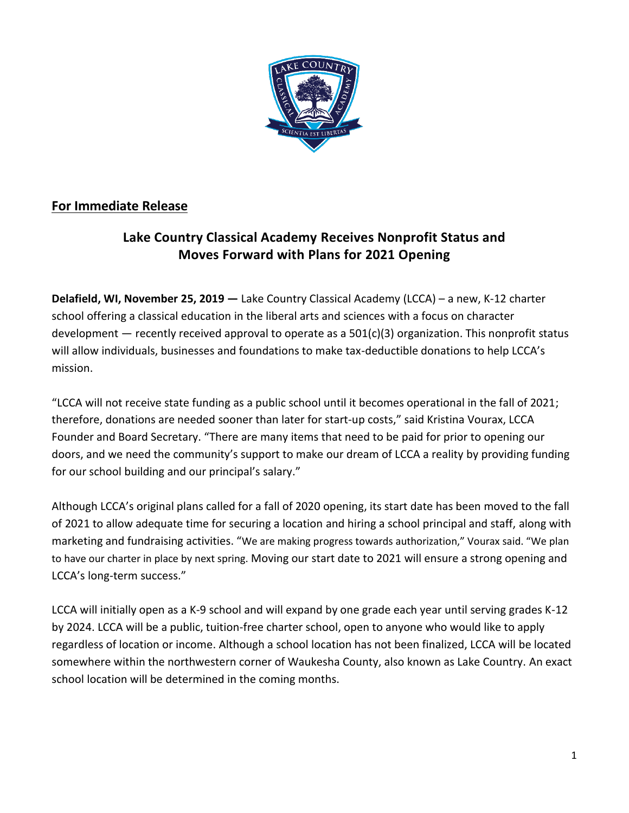

## **For Immediate Release**

## **Lake Country Classical Academy Receives Nonprofit Status and Moves Forward with Plans for 2021 Opening**

**Delafield, WI, November 25, 2019 —** Lake Country Classical Academy (LCCA) – a new, K-12 charter school offering a classical education in the liberal arts and sciences with a focus on character development — recently received approval to operate as a 501(c)(3) organization. This nonprofit status will allow individuals, businesses and foundations to make tax-deductible donations to help LCCA's mission.

"LCCA will not receive state funding as a public school until it becomes operational in the fall of 2021; therefore, donations are needed sooner than later for start-up costs," said Kristina Vourax, LCCA Founder and Board Secretary. "There are many items that need to be paid for prior to opening our doors, and we need the community's support to make our dream of LCCA a reality by providing funding for our school building and our principal's salary."

Although LCCA's original plans called for a fall of 2020 opening, its start date has been moved to the fall of 2021 to allow adequate time for securing a location and hiring a school principal and staff, along with marketing and fundraising activities. "We are making progress towards authorization," Vourax said. "We plan to have our charter in place by next spring. Moving our start date to 2021 will ensure a strong opening and LCCA's long-term success."

LCCA will initially open as a K-9 school and will expand by one grade each year until serving grades K-12 by 2024. LCCA will be a public, tuition-free charter school, open to anyone who would like to apply regardless of location or income. Although a school location has not been finalized, LCCA will be located somewhere within the northwestern corner of Waukesha County, also known as Lake Country. An exact school location will be determined in the coming months.